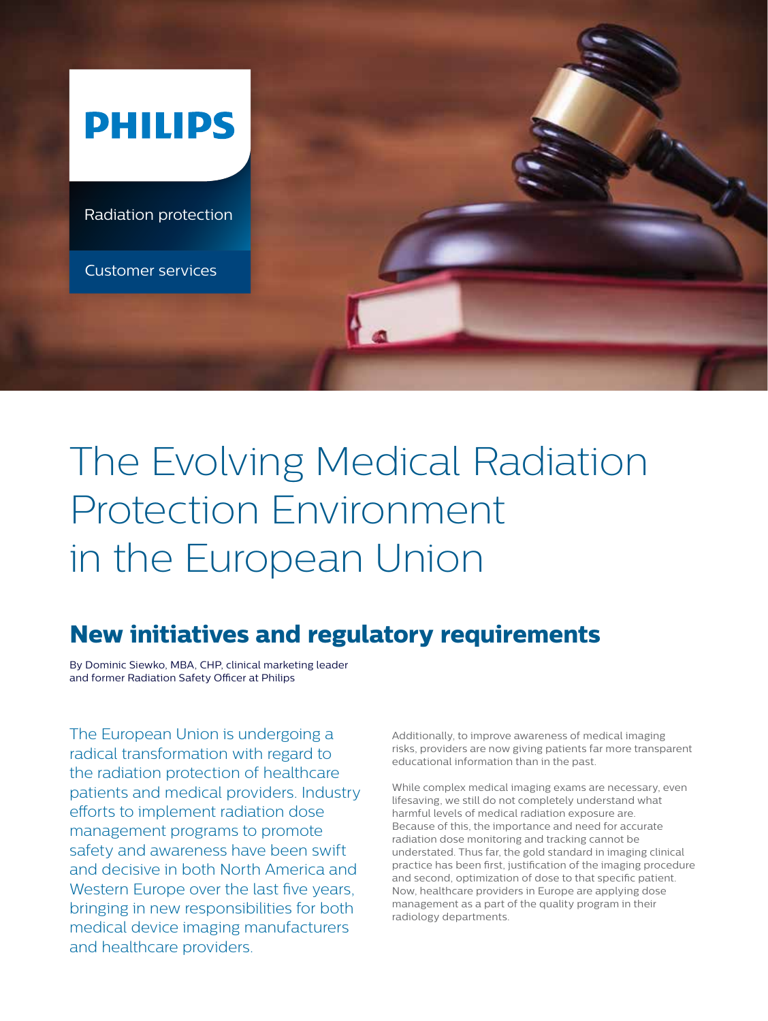

# The Evolving Medical Radiation Protection Environment in the European Union

# **New initiatives and regulatory requirements**

By Dominic Siewko, MBA, CHP, clinical marketing leader and former Radiation Safety Officer at Philips

The European Union is undergoing a radical transformation with regard to the radiation protection of healthcare patients and medical providers. Industry efforts to implement radiation dose management programs to promote safety and awareness have been swift and decisive in both North America and Western Europe over the last five years, bringing in new responsibilities for both medical device imaging manufacturers and healthcare providers.

Additionally, to improve awareness of medical imaging risks, providers are now giving patients far more transparent educational information than in the past.

While complex medical imaging exams are necessary, even lifesaving, we still do not completely understand what harmful levels of medical radiation exposure are. Because of this, the importance and need for accurate radiation dose monitoring and tracking cannot be understated. Thus far, the gold standard in imaging clinical practice has been first, justification of the imaging procedure and second, optimization of dose to that specific patient. Now, healthcare providers in Europe are applying dose management as a part of the quality program in their radiology departments.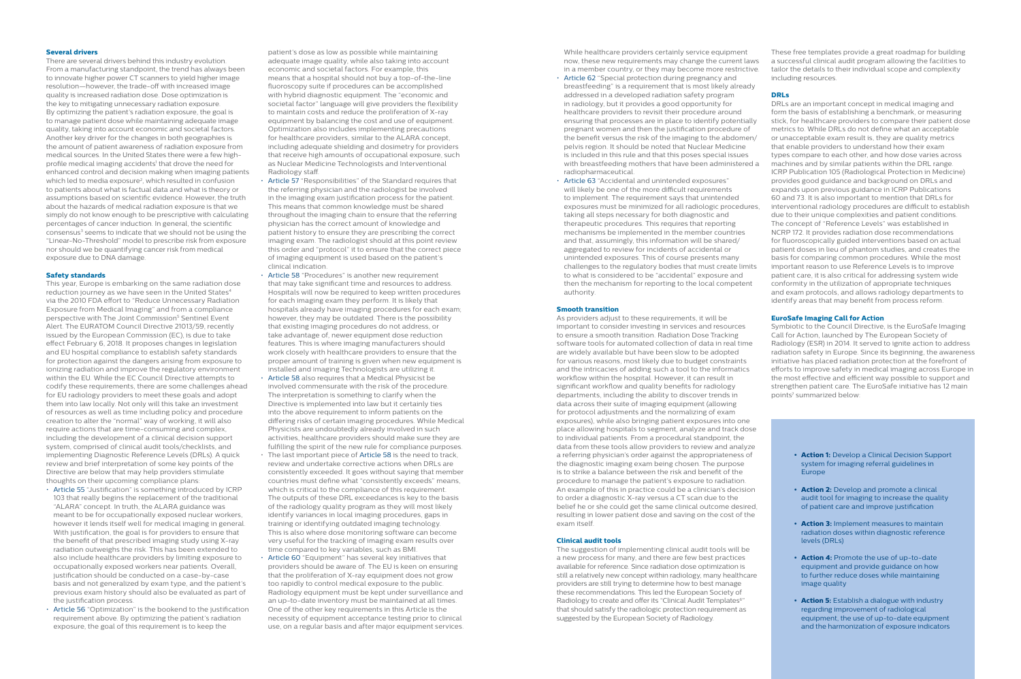#### **Several drivers**

There are several drivers behind this industry evolution. From a manufacturing standpoint, the trend has always been to innovate higher power CT scanners to yield higher image resolution—however, the trade-off with increased image quality is increased radiation dose. Dose optimization is the key to mitigating unnecessary radiation exposure. By optimizing the patient's radiation exposure, the goal is to manage patient dose while maintaining adequate image quality, taking into account economic and societal factors. Another key driver for the changes in both geographies is the amount of patient awareness of radiation exposure from medical sources. In the United States there were a few highprofile medical imaging accidents<sup>1</sup> that drove the need for enhanced control and decision making when imaging patients which led to media exposure<sup>2</sup>, which resulted in confusion to patients about what is factual data and what is theory or assumptions based on scientific evidence. However, the truth about the hazards of medical radiation exposure is that we simply do not know enough to be prescriptive with calculating percentages of cancer induction. In general, the scientific consensus<sup>3</sup> seems to indicate that we should not be using the "Linear-No-Threshold" model to prescribe risk from exposure nor should we be quantifying cancer risk from medical exposure due to DNA damage.

#### **Safety standards**

This year, Europe is embarking on the same radiation dose reduction journey as we have seen in the United States<sup>4</sup> via the 2010 FDA effort to "Reduce Unnecessary Radiation Exposure from Medical Imaging" and from a compliance perspective with The Joint Commission<sup>5</sup> Sentinel Event Alert. The EURATOM Council Directive 21013/59, recently issued by the European Commission (EC), is due to take effect February 6, 2018. It proposes changes in legislation and EU hospital compliance to establish safety standards for protection against the dangers arising from exposure to ionizing radiation and improve the regulatory environment within the EU. While the EC Council Directive attempts to codify these requirements, there are some challenges ahead for EU radiology providers to meet these goals and adopt them into law locally. Not only will this take an investment of resources as well as time including policy and procedure creation to alter the "normal" way of working, it will also require actions that are time-consuming and complex, including the development of a clinical decision support system, comprised of clinical audit tools/checklists, and implementing Diagnostic Reference Levels (DRLs). A quick review and brief interpretation of some key points of the Directive are below that may help providers stimulate thoughts on their upcoming compliance plans:

- Article 55 "Justification" is something introduced by ICRP 103 that really begins the replacement of the traditional "ALARA" concept. In truth, the ALARA guidance was meant to be for occupationally exposed nuclear workers, however it lends itself well for medical imaging in general. With justification, the goal is for providers to ensure that the benefit of that prescribed imaging study using X-ray radiation outweighs the risk. This has been extended to also include healthcare providers by limiting exposure to occupationally exposed workers near patients. Overall, justification should be conducted on a case-by-case basis and not generalized by exam type, and the patient's previous exam history should also be evaluated as part of the justification process.
- Article 56 "Optimization" is the bookend to the justification requirement above. By optimizing the patient's radiation exposure, the goal of this requirement is to keep the

patient's dose as low as possible while maintaining adequate image quality, while also taking into account economic and societal factors. For example, this means that a hospital should not buy a top-of-the-line fluoroscopy suite if procedures can be accomplished with hybrid diagnostic equipment. The "economic and societal factor" language will give providers the flexibility to maintain costs and reduce the proliferation of X-ray equipment by balancing the cost and use of equipment. Optimization also includes implementing precautions for healthcare providers, similar to the ALARA concept, including adequate shielding and dosimetry for providers that receive high amounts of occupational exposure, such as Nuclear Medicine Technologists and Interventional Radiology staff.

- Article 57 "Responsibilities" of the Standard requires that the referring physician and the radiologist be involved in the imaging exam justification process for the patient. This means that common knowledge must be shared throughout the imaging chain to ensure that the referring physician has the correct amount of knowledge and patient history to ensure they are prescribing the correct imaging exam. The radiologist should at this point review this order and "protocol" it to ensure that the correct piece of imaging equipment is used based on the patient's clinical indication.
- Article 58 "Procedures" is another new requirement that may take significant time and resources to address. Hospitals will now be required to keep written procedures for each imaging exam they perform. It is likely that hospitals already have imaging procedures for each exam; however, they may be outdated. There is the possibility that existing imaging procedures do not address, or take advantage of, newer equipment dose reduction features. This is where imaging manufacturers should work closely with healthcare providers to ensure that the proper amount of training is given when new equipment is installed and imaging Technologists are utilizing it.
- Article 58 also requires that a Medical Physicist be involved commensurate with the risk of the procedure. The interpretation is something to clarify when the Directive is implemented into law but it certainly ties into the above requirement to inform patients on the differing risks of certain imaging procedures. While Medical Physicists are undoubtedly already involved in such activities, healthcare providers should make sure they are fulfilling the spirit of the new rule for compliance purposes.
- The last important piece of Article 58 is the need to track, review and undertake corrective actions when DRLs are consistently exceeded. It goes without saying that member countries must define what "consistently exceeds" means, which is critical to the compliance of this requirement. The outputs of these DRL exceedances is key to the basis of the radiology quality program as they will most likely identify variances in local imaging procedures, gaps in training or identifying outdated imaging technology. This is also where dose monitoring software can become very useful for the tracking of imaging exam results over time compared to key variables, such as BMI.
- Article 60 "Equipment" has several key initiatives that providers should be aware of. The EU is keen on ensuring that the proliferation of X-ray equipment does not grow too rapidly to control medical exposure to the public. Radiology equipment must be kept under surveillance and an up-to-date inventory must be maintained at all times. One of the other key requirements in this Article is the necessity of equipment acceptance testing prior to clinical use, on a regular basis and after major equipment services.

Symbiotic to the Council Directive, is the EuroSafe Imaging Call for Action, launched by The European Society of Radiology (ESR) in 2014. It served to ignite action to address radiation safety in Europe. Since its beginning, the awareness initiative has placed radiation protection at the forefront of efforts to improve safety in medical imaging across Europe in the most effective and efficient way possible to support and strengthen patient care. The EuroSafe initiative has 12 main points<sup>7</sup> summarized below:

While healthcare providers certainly service equipment now, these new requirements may change the current laws in a member country, or they may become more restrictive.

- Article 62 "Special protection during pregnancy and breastfeeding" is a requirement that is most likely already addressed in a developed radiation safety program in radiology, but it provides a good opportunity for healthcare providers to revisit their procedure around ensuring that processes are in place to identify potentially pregnant women and then the justification procedure of the benefit versus the risk of the imaging to the abdomen/ pelvis region. It should be noted that Nuclear Medicine is included in this rule and that this poses special issues with breastfeeding mothers that have been administered a radiopharmaceutical.
- Article 63 "Accidental and unintended exposures" will likely be one of the more difficult requirements to implement. The requirement says that unintended exposures must be minimized for all radiologic procedures, taking all steps necessary for both diagnostic and therapeutic procedures. This requires that reporting mechanisms be implemented in the member countries and that, assumingly, this information will be shared/ aggregated to review for incidents of accidental or unintended exposures. This of course presents many challenges to the regulatory bodies that must create limits to what is considered to be "accidental" exposure and then the mechanism for reporting to the local competent authority.

#### **Smooth transition**

As providers adjust to these requirements, it will be important to consider investing in services and resources to ensure a smooth transition. Radiation Dose Tracking software tools for automated collection of data in real time are widely available but have been slow to be adopted for various reasons, most likely due to budget constraints and the intricacies of adding such a tool to the informatics workflow within the hospital. However, it can result in significant workflow and quality benefits for radiology departments, including the ability to discover trends in data across their suite of imaging equipment (allowing for protocol adjustments and the normalizing of exam exposures), while also bringing patient exposures into one place allowing hospitals to segment, analyze and track dose to individual patients. From a procedural standpoint, the data from these tools allow providers to review and analyze a referring physician's order against the appropriateness of the diagnostic imaging exam being chosen. The purpose is to strike a balance between the risk and benefit of the procedure to manage the patient's exposure to radiation. An example of this in practice could be a clinician's decision to order a diagnostic X-ray versus a CT scan due to the belief he or she could get the same clinical outcome desired, resulting in lower patient dose and saving on the cost of the exam itself.

#### **Clinical audit tools**

The suggestion of implementing clinical audit tools will be a new process for many, and there are few best practices available for reference. Since radiation dose optimization is still a relatively new concept within radiology, many healthcare providers are still trying to determine how to best manage these recommendations. This led the European Society of Radiology to create and offer its "Clinical Audit Templates<sup>6</sup>" that should satisfy the radiologic protection requirement as suggested by the European Society of Radiology.

These free templates provide a great roadmap for building a successful clinical audit program allowing the facilities to tailor the details to their individual scope and complexity including resources.

# **DRLs**

DRLs are an important concept in medical imaging and form the basis of establishing a benchmark, or measuring stick, for healthcare providers to compare their patient dose metrics to. While DRLs do not define what an acceptable or unacceptable exam result is, they are quality metrics that enable providers to understand how their exam types compare to each other, and how dose varies across machines and by similar patients within the DRL range. ICRP Publication 105 (Radiological Protection in Medicine) provides good guidance and background on DRLs and expands upon previous guidance in ICRP Publications 60 and 73. It is also important to mention that DRLs for interventional radiology procedures are difficult to establish due to their unique complexities and patient conditions. The concept of "Reference Levels" was established in NCRP 172. It provides radiation dose recommendations for fluoroscopically guided interventions based on actual patient doses in lieu of phantom studies, and creates the basis for comparing common procedures. While the most important reason to use Reference Levels is to improve patient care, it is also critical for addressing system wide conformity in the utilization of appropriate techniques and exam protocols, and allows radiology departments to identify areas that may benefit from process reform.

# **EuroSafe Imaging Call for Action**

- **• Action 1:** Develop a Clinical Decision Support system for imaging referral guidelines in Europe
- **• Action 2:** Develop and promote a clinical audit tool for imaging to increase the quality of patient care and improve justification
- **• Action 3:** Implement measures to maintain radiation doses within diagnostic reference levels (DRLs)
- **• Action 4:** Promote the use of up-to-date equipment and provide guidance on how to further reduce doses while maintaining image quality
- **• Action 5:** Establish a dialogue with industry regarding improvement of radiological equipment, the use of up-to-date equipment and the harmonization of exposure indicators